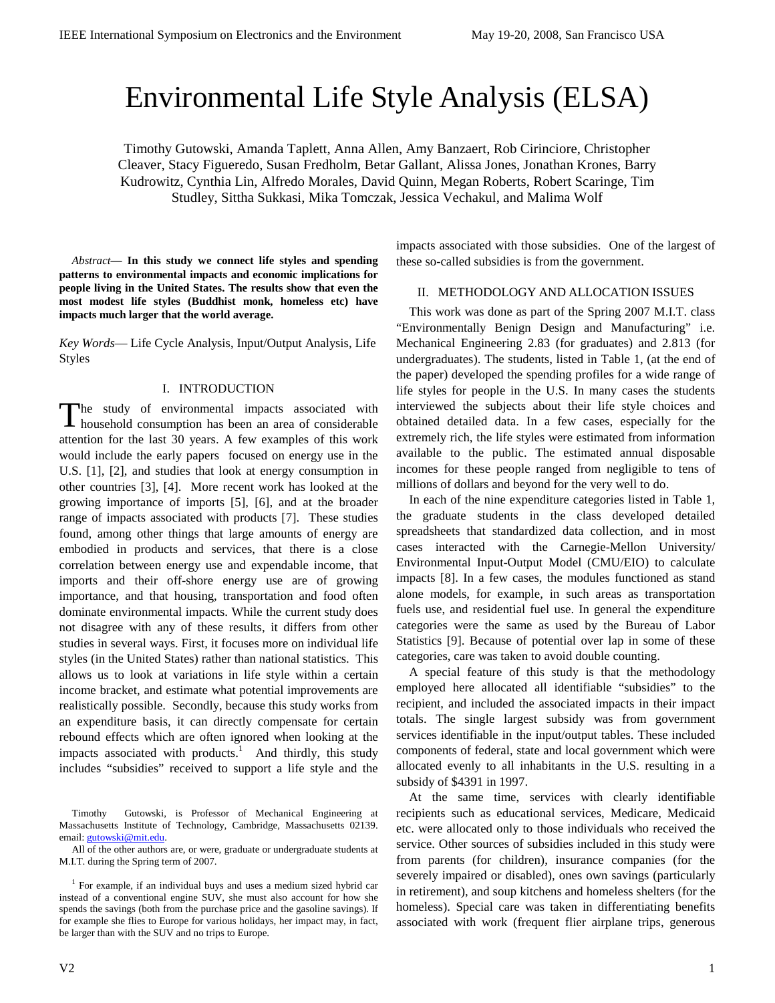# Environmental Life Style Analysis (ELSA)

Timothy Gutowski, Amanda Taplett, Anna Allen, Amy Banzaert, Rob Cirinciore, Christopher Cleaver, Stacy Figueredo, Susan Fredholm, Betar Gallant, Alissa Jones, Jonathan Krones, Barry Kudrowitz, Cynthia Lin, Alfredo Morales, David Quinn, Megan Roberts, Robert Scaringe, Tim Studley, Sittha Sukkasi, Mika Tomczak, Jessica Vechakul, and Malima Wolf

*Abstract***— In this study we connect life styles and spending patterns to environmental impacts and economic implications for people living in the United States. The results show that even the most modest life styles (Buddhist monk, homeless etc) have impacts much larger that the world average.** 

*Key Words*— Life Cycle Analysis, Input/Output Analysis, Life Styles

### I. INTRODUCTION

he study of environmental impacts associated with The study of environmental impacts associated with household consumption has been an area of considerable attention for the last 30 years. A few examples of this work would include the early papers focused on energy use in the U.S. [1], [2], and studies that look at energy consumption in other countries [3], [4]. More recent work has looked at the growing importance of imports [5], [6], and at the broader range of impacts associated with products [7]. These studies found, among other things that large amounts of energy are embodied in products and services, that there is a close correlation between energy use and expendable income, that imports and their off-shore energy use are of growing importance, and that housing, transportation and food often dominate environmental impacts. While the current study does not disagree with any of these results, it differs from other studies in several ways. First, it focuses more on individual life styles (in the United States) rather than national statistics. This allows us to look at variations in life style within a certain income bracket, and estimate what potential improvements are realistically possible. Secondly, because this study works from an expenditure basis, it can directly compensate for certain rebound effects which are often ignored when looking at the impacts associated with products.<sup>1</sup> And thirdly, this study includes "subsidies" received to support a life style and the

Timothy Gutowski, is Professor of Mechanical Engineering at Massachusetts Institute of Technology, Cambridge, Massachusetts 02139. email: *gutowski@mit.edu.* 

All of the other authors are, or were, graduate or undergraduate students at M.I.T. during the Spring term of 2007.

<sup>1</sup> For example, if an individual buys and uses a medium sized hybrid car instead of a conventional engine SUV, she must also account for how she spends the savings (both from the purchase price and the gasoline savings). If for example she flies to Europe for various holidays, her impact may, in fact, be larger than with the SUV and no trips to Europe.

impacts associated with those subsidies. One of the largest of these so-called subsidies is from the government.

## II. METHODOLOGY AND ALLOCATION ISSUES

This work was done as part of the Spring 2007 M.I.T. class "Environmentally Benign Design and Manufacturing" i.e. Mechanical Engineering 2.83 (for graduates) and 2.813 (for undergraduates). The students, listed in Table 1, (at the end of the paper) developed the spending profiles for a wide range of life styles for people in the U.S. In many cases the students interviewed the subjects about their life style choices and obtained detailed data. In a few cases, especially for the extremely rich, the life styles were estimated from information available to the public. The estimated annual disposable incomes for these people ranged from negligible to tens of millions of dollars and beyond for the very well to do.

In each of the nine expenditure categories listed in Table 1, the graduate students in the class developed detailed spreadsheets that standardized data collection, and in most cases interacted with the Carnegie-Mellon University/ Environmental Input-Output Model (CMU/EIO) to calculate impacts [8]. In a few cases, the modules functioned as stand alone models, for example, in such areas as transportation fuels use, and residential fuel use. In general the expenditure categories were the same as used by the Bureau of Labor Statistics [9]. Because of potential over lap in some of these categories, care was taken to avoid double counting.

A special feature of this study is that the methodology employed here allocated all identifiable "subsidies" to the recipient, and included the associated impacts in their impact totals. The single largest subsidy was from government services identifiable in the input/output tables. These included components of federal, state and local government which were allocated evenly to all inhabitants in the U.S. resulting in a subsidy of \$4391 in 1997.

At the same time, services with clearly identifiable recipients such as educational services, Medicare, Medicaid etc. were allocated only to those individuals who received the service. Other sources of subsidies included in this study were from parents (for children), insurance companies (for the severely impaired or disabled), ones own savings (particularly in retirement), and soup kitchens and homeless shelters (for the homeless). Special care was taken in differentiating benefits associated with work (frequent flier airplane trips, generous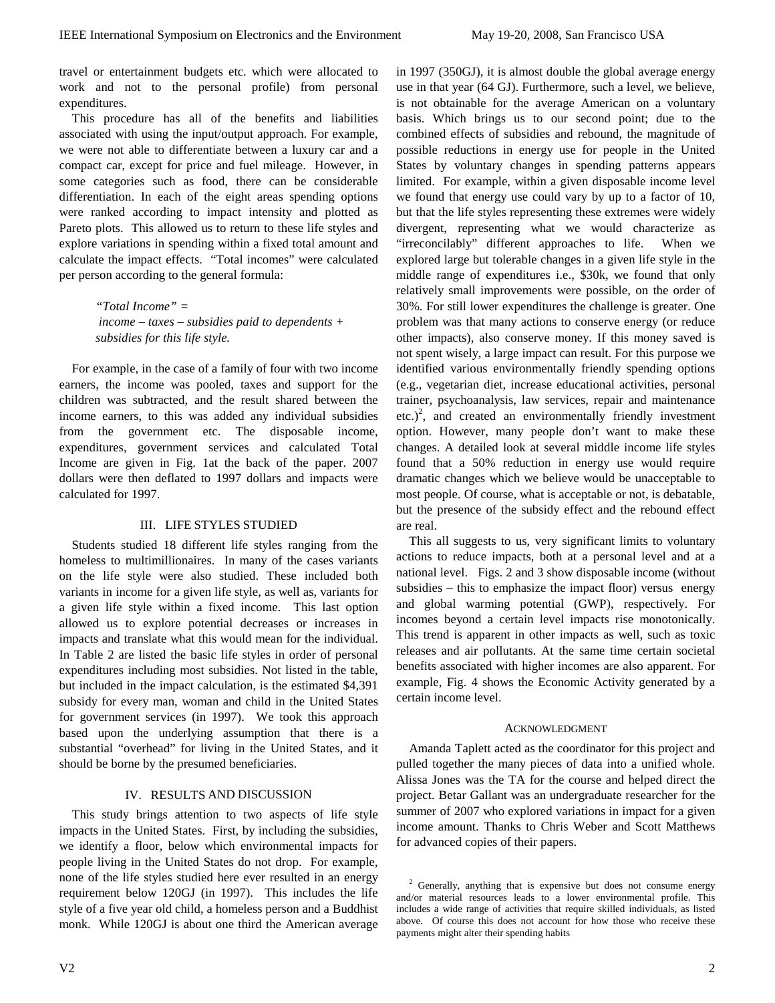in 1997 (350GJ), it is almost double the global average energy use in that year (64 GJ). Furthermore, such a level, we believe, is not obtainable for the average American on a voluntary basis. Which brings us to our second point; due to the combined effects of subsidies and rebound, the magnitude of possible reductions in energy use for people in the United

travel or entertainment budgets etc. which were allocated to work and not to the personal profile) from personal expenditures.

This procedure has all of the benefits and liabilities associated with using the input/output approach. For example, we were not able to differentiate between a luxury car and a compact car, except for price and fuel mileage. However, in some categories such as food, there can be considerable differentiation. In each of the eight areas spending options were ranked according to impact intensity and plotted as Pareto plots. This allowed us to return to these life styles and explore variations in spending within a fixed total amount and calculate the impact effects. "Total incomes" were calculated per person according to the general formula:

> *"Total Income" = income – taxes – subsidies paid to dependents + subsidies for this life style.*

For example, in the case of a family of four with two income earners, the income was pooled, taxes and support for the children was subtracted, and the result shared between the income earners, to this was added any individual subsidies from the government etc. The disposable income, expenditures, government services and calculated Total Income are given in Fig. 1at the back of the paper. 2007 dollars were then deflated to 1997 dollars and impacts were calculated for 1997.

## III. LIFE STYLES STUDIED

Students studied 18 different life styles ranging from the homeless to multimillionaires. In many of the cases variants on the life style were also studied. These included both variants in income for a given life style, as well as, variants for a given life style within a fixed income. This last option allowed us to explore potential decreases or increases in impacts and translate what this would mean for the individual. In Table 2 are listed the basic life styles in order of personal expenditures including most subsidies. Not listed in the table, but included in the impact calculation, is the estimated \$4,391 subsidy for every man, woman and child in the United States for government services (in 1997). We took this approach based upon the underlying assumption that there is a substantial "overhead" for living in the United States, and it should be borne by the presumed beneficiaries.

## IV. RESULTS AND DISCUSSION

This study brings attention to two aspects of life style impacts in the United States. First, by including the subsidies, we identify a floor, below which environmental impacts for people living in the United States do not drop. For example, none of the life styles studied here ever resulted in an energy requirement below 120GJ (in 1997). This includes the life style of a five year old child, a homeless person and a Buddhist monk. While 120GJ is about one third the American average

States by voluntary changes in spending patterns appears limited. For example, within a given disposable income level we found that energy use could vary by up to a factor of 10, but that the life styles representing these extremes were widely divergent, representing what we would characterize as "irreconcilably" different approaches to life. When we explored large but tolerable changes in a given life style in the middle range of expenditures i.e., \$30k, we found that only relatively small improvements were possible, on the order of 30%. For still lower expenditures the challenge is greater. One problem was that many actions to conserve energy (or reduce other impacts), also conserve money. If this money saved is not spent wisely, a large impact can result. For this purpose we identified various environmentally friendly spending options (e.g., vegetarian diet, increase educational activities, personal trainer, psychoanalysis, law services, repair and maintenance etc.)<sup>2</sup>, and created an environmentally friendly investment option. However, many people don't want to make these changes. A detailed look at several middle income life styles found that a 50% reduction in energy use would require dramatic changes which we believe would be unacceptable to most people. Of course, what is acceptable or not, is debatable, but the presence of the subsidy effect and the rebound effect are real. This all suggests to us, very significant limits to voluntary actions to reduce impacts, both at a personal level and at a national level. Figs. 2 and 3 show disposable income (without subsidies – this to emphasize the impact floor) versus energy

and global warming potential (GWP), respectively. For incomes beyond a certain level impacts rise monotonically. This trend is apparent in other impacts as well, such as toxic releases and air pollutants. At the same time certain societal benefits associated with higher incomes are also apparent. For example, Fig. 4 shows the Economic Activity generated by a certain income level.

#### ACKNOWLEDGMENT

Amanda Taplett acted as the coordinator for this project and pulled together the many pieces of data into a unified whole. Alissa Jones was the TA for the course and helped direct the project. Betar Gallant was an undergraduate researcher for the summer of 2007 who explored variations in impact for a given income amount. Thanks to Chris Weber and Scott Matthews for advanced copies of their papers.

 $2$  Generally, anything that is expensive but does not consume energy and/or material resources leads to a lower environmental profile. This includes a wide range of activities that require skilled individuals, as listed above. Of course this does not account for how those who receive these payments might alter their spending habits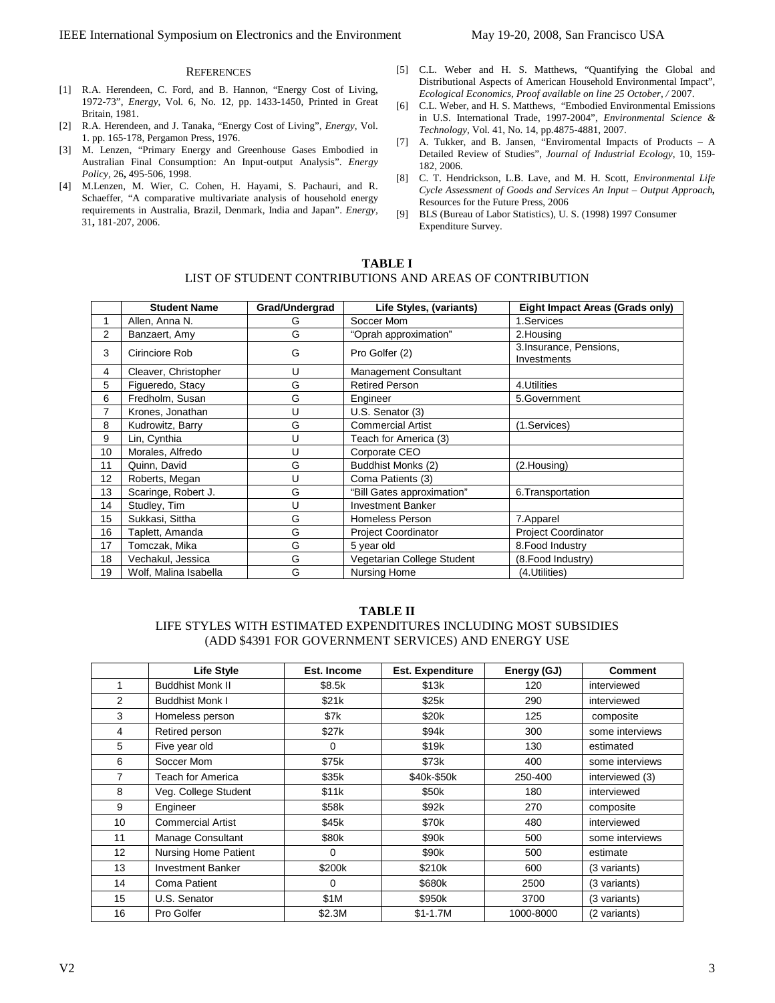#### **REFERENCES**

- [1] R.A. Herendeen, C. Ford, and B. Hannon, "Energy Cost of Living, 1972-73", *Energy*, Vol. 6, No. 12, pp. 1433-1450, Printed in Great Britain, 1981.
- [2] R.A. Herendeen, and J. Tanaka, "Energy Cost of Living", *Energy*, Vol. 1. pp. 165-178, Pergamon Press, 1976.
- [3] M. Lenzen, "Primary Energy and Greenhouse Gases Embodied in Australian Final Consumption: An Input-output Analysis". *Energy Policy,* 26**,** 495-506, 1998.
- [4] M.Lenzen, M. Wier, C. Cohen, H. Hayami, S. Pachauri, and R. Schaeffer, "A comparative multivariate analysis of household energy requirements in Australia, Brazil, Denmark, India and Japan". *Energy,* 31**,** 181-207, 2006.
- [5] C.L. Weber and H. S. Matthews, "Quantifying the Global and Distributional Aspects of American Household Environmental Impact", *Ecological Economics, Proof available on line 25 October, /* 2007.
- [6] C.L. Weber, and H. S. Matthews, "Embodied Environmental Emissions in U.S. International Trade, 1997-2004", *Environmental Science & Technology*, Vol. 41, No. 14, pp.4875-4881, 2007.
- [7] A. Tukker, and B. Jansen, "Enviromental Impacts of Products A Detailed Review of Studies", *Journal of Industrial Ecology*, 10, 159- 182, 2006.
- [8] C. T. Hendrickson, L.B. Lave, and M. H. Scott, *Environmental Life Cycle Assessment of Goods and Services An Input – Output Approach,* Resources for the Future Press, 2006
- [9] BLS (Bureau of Labor Statistics), U. S. (1998) 1997 Consumer Expenditure Survey.

## **TABLE I**  LIST OF STUDENT CONTRIBUTIONS AND AREAS OF CONTRIBUTION

|                | <b>Student Name</b>   | Grad/Undergrad | Life Styles, (variants)    | Eight Impact Areas (Grads only)       |  |
|----------------|-----------------------|----------------|----------------------------|---------------------------------------|--|
|                | Allen, Anna N.        | G              | Soccer Mom                 | 1.Services                            |  |
| $\overline{2}$ | Banzaert, Amy         | G              | "Oprah approximation"      | 2. Housing                            |  |
| 3              | Cirinciore Rob        | G              | Pro Golfer (2)             | 3.Insurance, Pensions,<br>Investments |  |
| 4              | Cleaver, Christopher  | U              | Management Consultant      |                                       |  |
| 5              | Figueredo, Stacy      | G              | <b>Retired Person</b>      | 4. Utilities                          |  |
| 6              | Fredholm, Susan       | G              | Engineer                   | 5.Government                          |  |
| 7              | Krones, Jonathan      | U              | U.S. Senator (3)           |                                       |  |
| 8              | Kudrowitz, Barry      | G              | <b>Commercial Artist</b>   | (1.Services)                          |  |
| 9              | Lin, Cynthia          | U              | Teach for America (3)      |                                       |  |
| 10             | Morales, Alfredo      | U              | Corporate CEO              |                                       |  |
| 11             | Quinn, David          | G              | Buddhist Monks (2)         | (2.Housing)                           |  |
| 12             | Roberts, Megan        | U              | Coma Patients (3)          |                                       |  |
| 13             | Scaringe, Robert J.   | G              | "Bill Gates approximation" | 6. Transportation                     |  |
| 14             | Studley, Tim          | U              | <b>Investment Banker</b>   |                                       |  |
| 15             | Sukkasi, Sittha       | G              | Homeless Person            | 7.Apparel                             |  |
| 16             | Taplett, Amanda       | G              | <b>Project Coordinator</b> | <b>Project Coordinator</b>            |  |
| 17             | Tomczak, Mika         | G              | 5 year old                 | 8. Food Industry                      |  |
| 18             | Vechakul, Jessica     | G              | Vegetarian College Student | (8. Food Industry)                    |  |
| 19             | Wolf, Malina Isabella | G              | Nursing Home               | (4.Utilities)                         |  |

#### **TABLE II**

## LIFE STYLES WITH ESTIMATED EXPENDITURES INCLUDING MOST SUBSIDIES (ADD \$4391 FOR GOVERNMENT SERVICES) AND ENERGY USE

|                 | <b>Life Style</b>        | Est. Income | <b>Est. Expenditure</b> | Energy (GJ) | <b>Comment</b>  |
|-----------------|--------------------------|-------------|-------------------------|-------------|-----------------|
|                 | <b>Buddhist Monk II</b>  | \$8.5k      | \$13k                   | 120         | interviewed     |
| 2               | <b>Buddhist Monk I</b>   | \$21k       | \$25k                   | 290         | interviewed     |
| 3               | Homeless person          | \$7k        | \$20k                   | 125         | composite       |
| 4               | Retired person           | \$27k       | \$94k                   | 300         | some interviews |
| 5               | Five year old            | 0           | \$19k                   | 130         | estimated       |
| 6               | Soccer Mom               | \$75k       | \$73k                   | 400         | some interviews |
| $\overline{7}$  | <b>Teach for America</b> | \$35k       | \$40k-\$50k             | 250-400     | interviewed (3) |
| 8               | Veg. College Student     | \$11k       | \$50k                   | 180         | interviewed     |
| 9               | Engineer                 | \$58k       | \$92k                   | 270         | composite       |
| 10              | <b>Commercial Artist</b> | \$45k       | \$70 <sub>k</sub>       | 480         | interviewed     |
| 11              | Manage Consultant        | \$80k       | \$90k                   | 500         | some interviews |
| 12 <sup>°</sup> | Nursing Home Patient     | 0           | \$90k                   | 500         | estimate        |
| 13              | <b>Investment Banker</b> | \$200k      | \$210k                  | 600         | (3 variants)    |
| 14              | Coma Patient             | 0           | \$680k                  | 2500        | (3 variants)    |
| 15              | U.S. Senator             | \$1M        | \$950k                  | 3700        | (3 variants)    |
| 16              | Pro Golfer               | \$2.3M      | $$1-1.7M$               | 1000-8000   | (2 variants)    |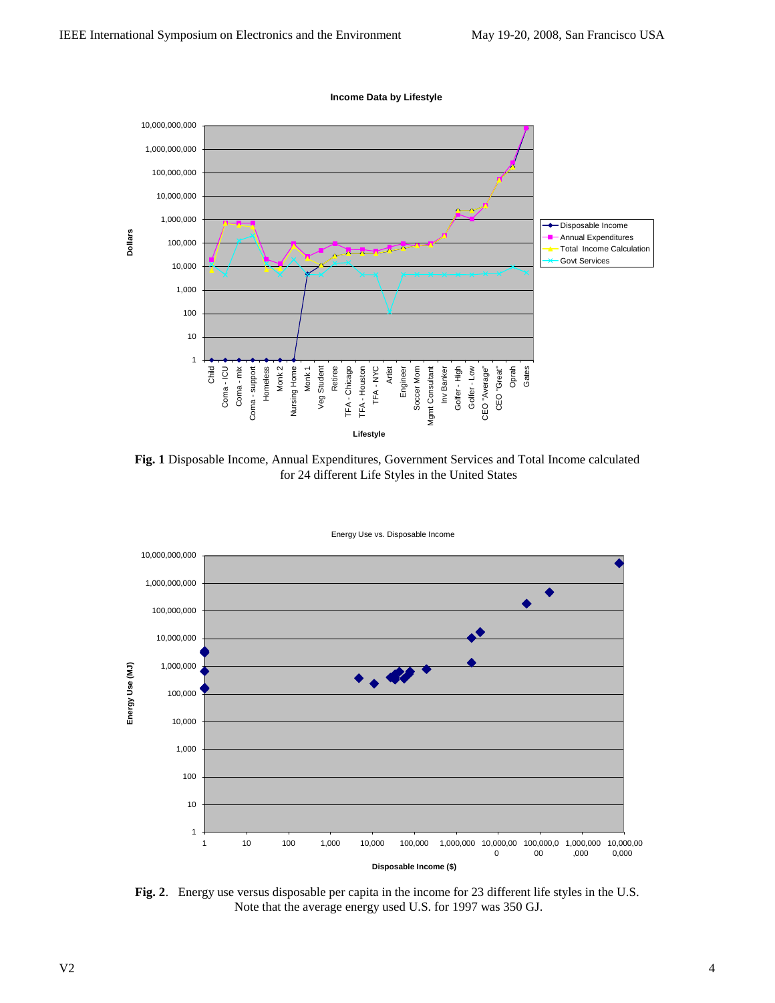

**Fig. 1** Disposable Income, Annual Expenditures, Government Services and Total Income calculated for 24 different Life Styles in the United States



**Fig. 2**.Energy use versus disposable per capita in the income for 23 different life styles in the U.S. Note that the average energy used U.S. for 1997 was 350 GJ.

**Income Data by Lifestyle**